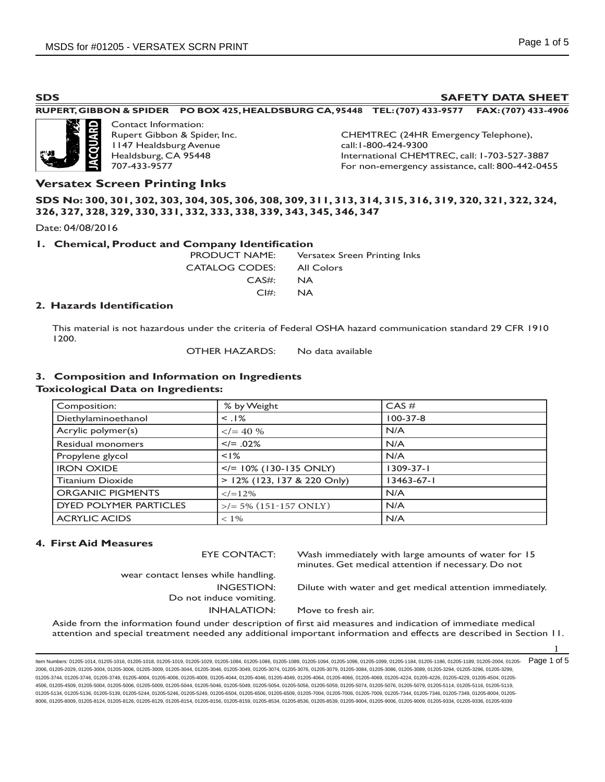### **SDS SAFETY DATA SHEET**

### **RUPERT, GIBBON & SPIDER PO BOX 425, HEALDSBURG CA, 95448 TEL: (707) 433-9577 FAX: (707) 433-4906**



Contact Information: Rupert Gibbon & Spider, Inc. 1147 Healdsburg Avenue Healdsburg, CA 95448 707-433-9577

CHEMTREC (24HR Emergency Telephone), call:1-800-424-9300 International CHEMTREC, call: 1-703-527-3887 For non-emergency assistance, call: 800-442-0455

### **Versatex Screen Printing Inks**

### **SDS No: 300, 301, 302, 303, 304, 305, 306, 308, 309, 311, 313, 314, 315, 316, 319, 320, 321, 322, 324, 326, 327, 328, 329, 330, 331, 332, 333, 338, 339, 343, 345, 346, 347**

Date: 04/08/2016

### **1. Chemical, Product and Company Identification**

PRODUCT NAME: Versatex Sreen Printing Inks CATALOG CODES: All Colors CAS#: NA CI#: NA

### **2. Hazards Identification**

This material is not hazardous under the criteria of Federal OSHA hazard communication standard 29 CFR 1910 1200.

OTHER HAZARDS: No data available

### **3. Composition and Information on Ingredients**

### **Toxicological Data on Ingredients:**

| Composition:                  | % by Weight                                                                                                                                                                                                                                                                                                                                                                                           | $CAS \#$         |
|-------------------------------|-------------------------------------------------------------------------------------------------------------------------------------------------------------------------------------------------------------------------------------------------------------------------------------------------------------------------------------------------------------------------------------------------------|------------------|
| Diethylaminoethanol           | $<$ .1%                                                                                                                                                                                                                                                                                                                                                                                               | $100 - 37 - 8$   |
| Acrylic polymer(s)            | $\langle 640 \ \frac{9}{6} \ \frac{1}{2} \ \frac{1}{2} \ \frac{1}{2} \ \frac{1}{2} \ \frac{1}{2} \ \frac{1}{2} \ \frac{1}{2} \ \frac{1}{2} \ \frac{1}{2} \ \frac{1}{2} \ \frac{1}{2} \ \frac{1}{2} \ \frac{1}{2} \ \frac{1}{2} \ \frac{1}{2} \ \frac{1}{2} \ \frac{1}{2} \ \frac{1}{2} \ \frac{1}{2} \ \frac{1}{2} \ \frac{1}{2} \ \frac{1}{2} \ \frac{1}{2} \ \frac{1}{2} \ \frac{1}{2} \ \frac{1}{$ | N/A              |
| Residual monomers             | $\le$ /= .02%                                                                                                                                                                                                                                                                                                                                                                                         | N/A              |
| Propylene glycol              | $< 1\%$                                                                                                                                                                                                                                                                                                                                                                                               | N/A              |
| <b>IRON OXIDE</b>             | $\le$ /= 10% (130-135 ONLY)                                                                                                                                                                                                                                                                                                                                                                           | $1309 - 37 - 1$  |
| <b>Titanium Dioxide</b>       | $> 12\%$ (123, 137 & 220 Only)                                                                                                                                                                                                                                                                                                                                                                        | $13463 - 67 - 1$ |
| <b>ORGANIC PIGMENTS</b>       | $\leq$ /=12%                                                                                                                                                                                                                                                                                                                                                                                          | N/A              |
| <b>DYED POLYMER PARTICLES</b> | $\frac{1}{5\%}$ (151-157 ONLY)                                                                                                                                                                                                                                                                                                                                                                        | N/A              |
| <b>ACRYLIC ACIDS</b>          | $< 1\%$                                                                                                                                                                                                                                                                                                                                                                                               | N/A              |

### **4. First Aid Measures**

EYE CONTACT: Wash immediately with large amounts of water for 15 minutes. Get medical attention if necessary. Do not

wear contact lenses while handling. Do not induce vomiting.

INGESTION: Dilute with water and get medical attention immediately.

INHALATION: Move to fresh air.

 Aside from the information found under description of first aid measures and indication of immediate medical attention and special treatment needed any additional important information and effects are described in Section 11.

ltem Numbers: 01205-1014, 01205-1016, 01205-1018, 01205-1019, 01205-1029, 01205-1084, 01205-1086, 01205-1084, 01206-1096, 01205-1098, 01205-1089, 01205-1188, 01205-1189, 01205-1089, 01205-2004, 01205-2004, 01205-1189, 0120 2006, 01205-2029, 01205-3004, 01205-3006, 01205-3009, 01205-3044, 01205-3046, 01205-3049, 01205-3074, 01205-3076, 01205-3079, 01205-3084, 01205-3086, 01205-3089, 01205-3294, 01205-3296, 01205-3299, 01205-3744, 01205-3746, 01205-3749, 01205-4004, 01205-4006, 01205-4044, 01205-4046, 01205-4049, 01205-4064, 01205-4066, 01205-4069, 01205-4224, 01205-4226, 01205-4229, 01205-4504, 01205-4069, 01205-4228, 01205-4226, 01205-4 4506, 01205-4509, 01205-5004, 01205-5006, 01205-5009, 01205-5044, 01205-5046, 01205-5049, 01205-5056, 01205-5056, 01205-5059, 01205-5076, 01205-5076, 01205-5079, 01205-5114, 01205-5116, 01205-5079, 01205-5116, 01205-5119, 01205-5134, 01205-5136, 01205-5139, 01205-5244, 01205-5246, 01205-5249, 01205-6504, 01205-6506, 01205-6509, 01205-7004, 01205-7006, 01205-7009, 01205-7344, 01205-7346, 01205-7349, 01205-7349, 01205-7349, 01205-8004, 01205-8006, 01205-8009, 01205-8124, 01205-8126, 01205-8129, 01205-8154, 01205-8156, 01205-8159, 01205-8534, 01205-8536, 01205-8539, 01205-9004, 01205-9006, 01205-9009, 01205-9334, 01205-9336, 01205-9339

1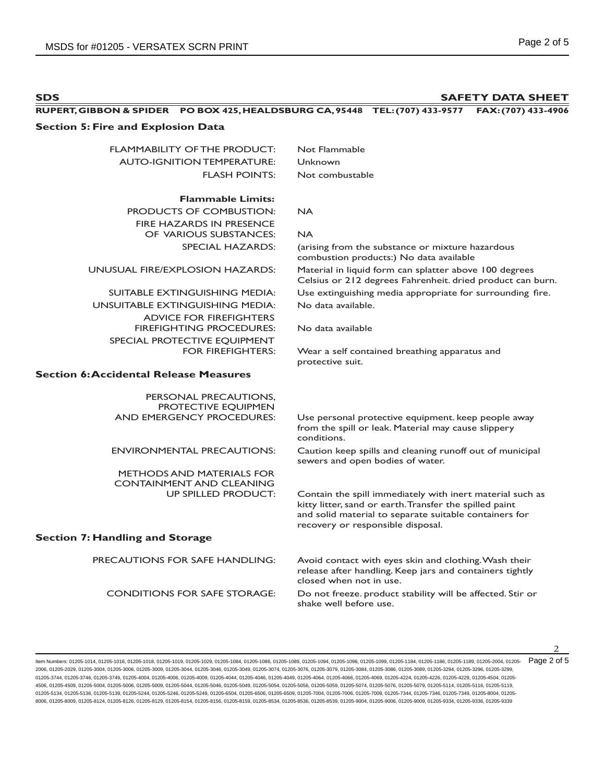**SDS SAFETY DATA SHEET RUPERT, GIBBON & SPIDER PO BOX 425, HEALDSBURG CA, 95448 TEL: (707) 433-9577 FAX: (707) 433-4906 Section 5: Fire and Explosion Data** FLAMMABILITY OF THE PRODUCT: Not Flammable AUTO-IGNITION TEMPERATURE: Unknown FLASH POINTS: Not combustable **Flammable Limits:** PRODUCTS OF COMBUSTION: NA FIRE HAZARDS IN PRESENCE OF VARIOUS SUBSTANCES: NA SPECIAL HAZARDS: (arising from the substance or mixture hazardous combustion products:) No data available UNUSUAL FIRE/EXPLOSION HAZARDS: Material in liquid form can splatter above 100 degrees Celsius or 212 degrees Fahrenheit. dried product can burn. SUITABLE EXTINGUISHING MEDIA: Use extinguishing media appropriate for surrounding fire. UNSUITABLE EXTINGUISHING MEDIA: No data available. ADVICE FOR FIREFIGHTERS FIREFIGHTING PROCEDURES: No data available SPECIAL PROTECTIVE EQUIPMENT FOR FIREFIGHTERS: Wear a self contained breathing apparatus and protective suit. **Section 6: Accidental Release Measures** PERSONAL PRECAUTIONS, PROTECTIVE EQUIPMEN<br>AND EMERGENCY PROCEDURES: Use personal protective equipment. keep people away from the spill or leak. Material may cause slippery conditions. ENVIRONMENTAL PRECAUTIONS: Caution keep spills and cleaning runoff out of municipal sewers and open bodies of water. METHODS AND MATERIALS FOR CONTAINMENT AND CLEANING Contain the spill immediately with inert material such as kitty litter, sand or earth. Transfer the spilled paint and solid material to separate suitable containers for recovery or responsible disposal. **Section 7: Handling and Storage** PRECAUTIONS FOR SAFE HANDLING: Avoid contact with eyes skin and clothing. Wash their release after handling. Keep jars and containers tightly closed when not in use. CONDITIONS FOR SAFE STORAGE: Do not freeze. product stability will be affected. Stir or shake well before use.

Item Numbers: 01205-1014, 01205-1016, 01205-1018, 01205-1019, 01205-1029, 01205-1084, 01205-1086, 01205-1089, 01205-1094, 01205-1096, 01205-1099, 01205-1184, 01205-1186, 01205-1189, 01205-2004, 01205- 2006, 01205-2029, 01205-3004, 01205-3006, 01205-3009, 01205-3044, 01205-3046, 01205-3049, 01205-3074, 01205-3076, 01205-3079, 01205-3084, 01205-3086, 01205-3089, 01205-3294, 01205-3296, 01205-3299, 01205-3744, 01205-3746, 01205-3749, 01205-4004, 01205-4006, 01205-4040, 01205-4046, 01205-4049, 01205-4064, 01205-4066, 01205-4069, 01205-4224, 01205-4226, 01205-4229, 01205-425, 01205-425, 01205-4229, 01205-4229, 01205-422 4506, 01205-4509, 01205-5004, 01205-5006, 01205-5009, 01205-5044, 01205-5046, 01205-5049, 01205-5056, 01205-5056, 01205-5059, 01205-5076, 01205-5076, 01205-5079, 01205-5114, 01205-5116, 01205-5079, 01205-5116, 01205-5119, 01205-5134, 01205-5136, 01205-5139, 01205-5244, 01205-5246, 01205-5249, 01205-6504, 01205-6509, 01205-6509, 01205-7004, 01205-7006, 01205-7009, 01205-7344, 01205-7346, 01205-7349, 01205-7349, 01205-7349, 01205-7349, 01205-7 8006, 01205-8009, 01205-8124, 01205-8126, 01205-8129, 01205-8154, 01205-8156, 01205-8159, 01205-8534, 01205-8536, 01205-8539, 01205-9004, 01205-9006, 01205-9009, 01205-9334, 01205-9336, 01205-9339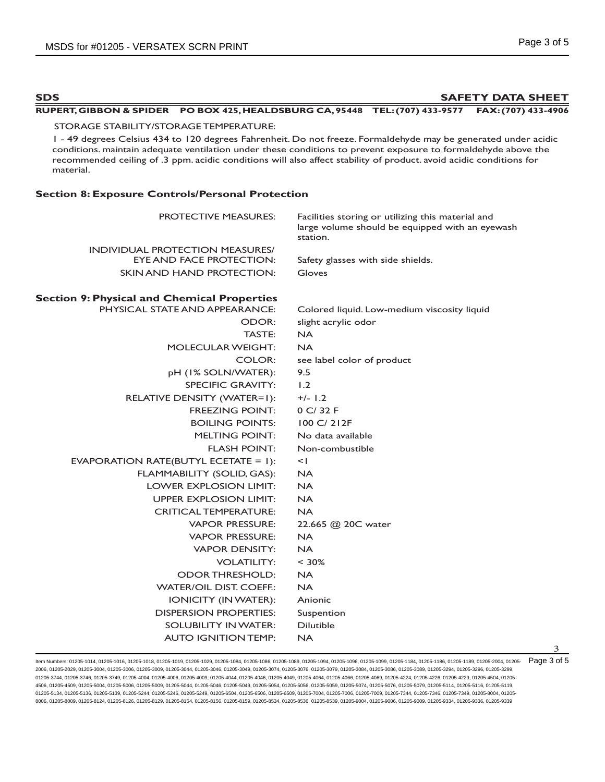3

| <b>SDS</b>                                                                           | <b>SAFETY DATA SHEET</b>                                                                                                                                                                                                                                                                                                                                 |
|--------------------------------------------------------------------------------------|----------------------------------------------------------------------------------------------------------------------------------------------------------------------------------------------------------------------------------------------------------------------------------------------------------------------------------------------------------|
|                                                                                      | RUPERT, GIBBON & SPIDER PO BOX 425, HEALDSBURG CA, 95448 TEL: (707) 433-9577 FAX: (707) 433-4906                                                                                                                                                                                                                                                         |
| STORAGE STABILITY/STORAGE TEMPERATURE:                                               |                                                                                                                                                                                                                                                                                                                                                          |
| material.                                                                            | I - 49 degrees Celsius 434 to 120 degrees Fahrenheit. Do not freeze. Formaldehyde may be generated under acidic<br>conditions. maintain adequate ventilation under these conditions to prevent exposure to formaldehyde above the<br>recommended ceiling of .3 ppm. acidic conditions will also affect stability of product. avoid acidic conditions for |
| <b>Section 8: Exposure Controls/Personal Protection</b>                              |                                                                                                                                                                                                                                                                                                                                                          |
| <b>PROTECTIVE MEASURES:</b>                                                          | Facilities storing or utilizing this material and<br>large volume should be equipped with an eyewash<br>station.                                                                                                                                                                                                                                         |
| <b>INDIVIDUAL PROTECTION MEASURES/</b>                                               |                                                                                                                                                                                                                                                                                                                                                          |
| <b>EYE AND FACE PROTECTION:</b>                                                      | Safety glasses with side shields.                                                                                                                                                                                                                                                                                                                        |
| SKIN AND HAND PROTECTION:                                                            | Gloves                                                                                                                                                                                                                                                                                                                                                   |
| <b>Section 9: Physical and Chemical Properties</b><br>PHYSICAL STATE AND APPEARANCE: | Colored liquid. Low-medium viscosity liquid                                                                                                                                                                                                                                                                                                              |
| ODOR:                                                                                | slight acrylic odor                                                                                                                                                                                                                                                                                                                                      |
| TASTE:                                                                               | <b>NA</b>                                                                                                                                                                                                                                                                                                                                                |
| <b>MOLECULAR WEIGHT:</b>                                                             | <b>NA</b>                                                                                                                                                                                                                                                                                                                                                |
| COLOR:                                                                               | see label color of product                                                                                                                                                                                                                                                                                                                               |
| pH (I% SOLN/WATER):                                                                  | 9.5                                                                                                                                                                                                                                                                                                                                                      |
| <b>SPECIFIC GRAVITY:</b>                                                             | 1.2                                                                                                                                                                                                                                                                                                                                                      |
| RELATIVE DENSITY (WATER=1):                                                          | $+/- 1.2$                                                                                                                                                                                                                                                                                                                                                |
| <b>FREEZING POINT:</b>                                                               | 0 C/ 32 F                                                                                                                                                                                                                                                                                                                                                |
| <b>BOILING POINTS:</b>                                                               | 100 C/ 212F                                                                                                                                                                                                                                                                                                                                              |
| <b>MELTING POINT:</b>                                                                | No data available                                                                                                                                                                                                                                                                                                                                        |
| <b>FLASH POINT:</b>                                                                  | Non-combustible                                                                                                                                                                                                                                                                                                                                          |
| EVAPORATION RATE(BUTYL ECETATE = 1):                                                 | $\leq$                                                                                                                                                                                                                                                                                                                                                   |
| FLAMMABILITY (SOLID, GAS):                                                           | <b>NA</b>                                                                                                                                                                                                                                                                                                                                                |
| LOWER EXPLOSION LIMIT:                                                               | <b>NA</b>                                                                                                                                                                                                                                                                                                                                                |
| <b>UPPER EXPLOSION LIMIT:</b>                                                        | <b>NA</b>                                                                                                                                                                                                                                                                                                                                                |
| <b>CRITICAL TEMPERATURE:</b>                                                         | <b>NA</b>                                                                                                                                                                                                                                                                                                                                                |
| <b>VAPOR PRESSURE:</b>                                                               | 22.665 @ 20C water                                                                                                                                                                                                                                                                                                                                       |
| <b>VAPOR PRESSURE:</b>                                                               | <b>NA</b>                                                                                                                                                                                                                                                                                                                                                |
| <b>VAPOR DENSITY:</b>                                                                | <b>NA</b>                                                                                                                                                                                                                                                                                                                                                |
| <b>VOLATILITY:</b>                                                                   | $< 30\%$                                                                                                                                                                                                                                                                                                                                                 |
| <b>ODOR THRESHOLD:</b>                                                               | <b>NA</b>                                                                                                                                                                                                                                                                                                                                                |
| <b>WATER/OIL DIST. COEFF.:</b>                                                       | <b>NA</b>                                                                                                                                                                                                                                                                                                                                                |
| <b>IONICITY (IN WATER):</b>                                                          | Anionic                                                                                                                                                                                                                                                                                                                                                  |
| <b>DISPERSION PROPERTIES:</b>                                                        | Suspention                                                                                                                                                                                                                                                                                                                                               |
| <b>SOLUBILITY IN WATER:</b>                                                          | Dilutible                                                                                                                                                                                                                                                                                                                                                |
| <b>AUTO IGNITION TEMP:</b>                                                           | <b>NA</b>                                                                                                                                                                                                                                                                                                                                                |

ltem Numbers: 01205-1014, 01205-1016, 01205-1018, 01205-1019, 01205-1029, 01205-1084, 01205-1086, 01205-1094, 01205-1096, 01205-1098, 01205-1089, 01205-1189, 01205-1189, 01205-1089, 01205-2004, 01205-2004, 01205-1189, 0120 2006, 01205-2029, 01205-3004, 01205-3006, 01205-3009, 01205-3044, 01205-3046, 01205-3049, 01205-3074, 01205-3076, 01205-3079, 01205-3084, 01205-3086, 01205-3089, 01205-3294, 01205-3296, 01205-3299, 01205-3744, 01205-3746, 01205-3749, 01205-4004, 01205-4006, 01205-4009, 01205-4044, 01205-4046, 01205-4049, 01205-4064, 01205-4066, 01205-4069, 01205-4224, 01205-4226, 01205-4229, 01205-4504, 01205- 4506, 01205-4509, 01205-5004, 01205-5006, 01205-5009, 01205-5044, 01205-5046, 01205-5049, 01205-5054, 01205-5056, 01205-5059, 01205-5074, 01205-5076, 01205-5079, 01205-5114, 01205-5116, 01205-5119, 01205-5134, 01205-5136, 01205-5139, 01205-5244, 01205-5246, 01205-5249, 01205-6504, 01205-6506, 01205-6509, 01205-7004, 01205-7006, 01205-7009, 01205-7344, 01205-7346, 01205-7349, 01205-8004, 01205- 8006, 01205-8009, 01205-8124, 01205-8126, 01205-8129, 01205-8154, 01205-8156, 01205-8159, 01205-8534, 01205-8536, 01205-8539, 01205-9004, 01205-9006, 01205-9009, 01205-9334, 01205-9336, 01205-9339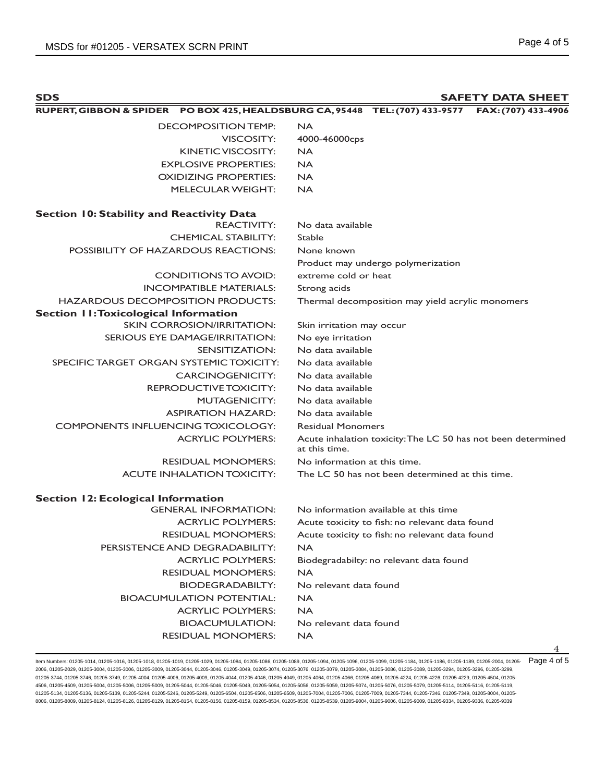| <b>SDS</b>                                                                   | <b>SAFETY DATA SHEET</b> |
|------------------------------------------------------------------------------|--------------------------|
| RUPERT, GIBBON & SPIDER PO BOX 425, HEALDSBURG CA, 95448 TEL: (707) 433-9577 | FAX: (707) 433-4906      |
| DECOMPOSITION TEMP:                                                          | <b>NA</b>                |
| VISCOSITY:                                                                   | 4000-46000cps            |
| KINETIC VISCOSITY:                                                           | <b>NA</b>                |
| <b>EXPLOSIVE PROPERTIES:</b>                                                 | <b>NA</b>                |
| <b>OXIDIZING PROPERTIES:</b>                                                 | <b>NA</b>                |
| <b>MELECULAR WEIGHT:</b>                                                     | <b>NA</b>                |
| <b>Section 10: Stability and Reactivity Data</b>                             |                          |
| <b>REACTIVITY:</b>                                                           | No data available        |
| <b>CHEMICAL STABILITY:</b>                                                   | Stable                   |
| <b>POSSIBILITY OF HAZARDOUS REACTIONS:</b>                                   | None known               |

Product may undergo polymerization

# HAZARDOUS DECOMPOSITION PRODUCTS: Thermal decomposition may yield acrylic monomers

| <b>Section II: Toxicological Information</b> |                                                                               |
|----------------------------------------------|-------------------------------------------------------------------------------|
| <b>SKIN CORROSION/IRRITATION:</b>            | Skin irritation may occur                                                     |
| SERIOUS EYE DAMAGE/IRRITATION:               | No eye irritation                                                             |
| SENSITIZATION:                               | No data available                                                             |
| SPECIFIC TARGET ORGAN SYSTEMIC TOXICITY:     | No data available                                                             |
| <b>CARCINOGENICITY:</b>                      | No data available                                                             |
| <b>REPRODUCTIVE TOXICITY:</b>                | No data available                                                             |
| <b>MUTAGENICITY:</b>                         | No data available                                                             |
| <b>ASPIRATION HAZARD:</b>                    | No data available                                                             |
| <b>COMPONENTS INFLUENCING TOXICOLOGY:</b>    | <b>Residual Monomers</b>                                                      |
| <b>ACRYLIC POLYMERS:</b>                     | Acute inhalation toxicity: The LC 50 has not been determined<br>at this time. |
| <b>RESIDUAL MONOMERS:</b>                    | No information at this time.                                                  |
| <b>ACUTE INHALATION TOXICITY:</b>            | The LC 50 has not been determined at this time.                               |
| <b>Section 12: Ecological Information</b>    |                                                                               |
| <b>GENERAL INFORMATION:</b>                  | No information available at this time                                         |
| <b>ACRYLIC POLYMERS:</b>                     | Acute toxicity to fish: no relevant data found                                |
| <b>RESIDUAL MONOMERS:</b>                    | Acute toxicity to fish: no relevant data found                                |
| PERSISTENCE AND DEGRADABILITY:               | <b>NA</b>                                                                     |
| <b>ACRYLIC POLYMERS:</b>                     | Biodegradabilty: no relevant data found                                       |
| <b>RESIDUAL MONOMERS:</b>                    | <b>NA</b>                                                                     |
| <b>BIODEGRADABILTY:</b>                      | No relevant data found                                                        |
| <b>BIOACUMULATION POTENTIAL:</b>             | <b>NA</b>                                                                     |
| <b>ACRYLIC POLYMERS:</b>                     | <b>NA</b>                                                                     |
| <b>BIOACUMULATION:</b>                       | No relevant data found                                                        |
| <b>RESIDUAL MONOMERS:</b>                    | <b>NA</b>                                                                     |

CONDITIONS TO AVOID: extreme cold or heat

INCOMPATIBLE MATERIALS: Strong acids

ltem Numbers: 01205-1014, 01205-1016, 01205-1018, 01205-1019, 01205-1029, 01205-1084, 01205-1086, 01205-1084, 01206-1096, 01205-1098, 01205-1089, 01205-1188, 01205-1189, 01205-1089, 01205-2004, 01205-2004, 01205-1189, 0120 2006, 01205-2029, 01205-3004, 01205-3006, 01205-3009, 01205-3044, 01205-3046, 01205-3049, 01205-3074, 01205-3076, 01205-3079, 01205-3084, 01205-3086, 01205-3089, 01205-3294, 01205-3296, 01205-3299, 01205-3744, 01205-3746, 01205-3749, 01205-4004, 01205-4006, 01205-4004, 01205-4046, 01205-4049, 01205-4044, 01205-4066, 01205-4069, 01205-4224, 01205-4226, 01205-4229, 01205-4504, 01205-406 4506, 01205-4509, 01205-5004, 01205-5006, 01205-5009, 01205-5044, 01205-5046, 01205-5049, 01205-5054, 01205-5056, 01205-5059, 01205-5074, 01205-5076, 01205-5079, 01205-5114, 01205-5116, 01205-5119, 01205-5134, 01205-5136, 01205-5139, 01205-5244, 01205-5246, 01205-5249, 01205-6504, 01205-6506, 01205-6509, 01205-7004, 01205-7006, 01205-7009, 01205-7344, 01205-7346, 01205-7349, 01205-8004, 01205- 8006, 01205-8009, 01205-8124, 01205-8126, 01205-8129, 01205-8154, 01205-8156, 01205-8159, 01205-8534, 01205-8536, 01205-8539, 01205-9004, 01205-9006, 01205-9009, 01205-9334, 01205-9336, 01205-9339